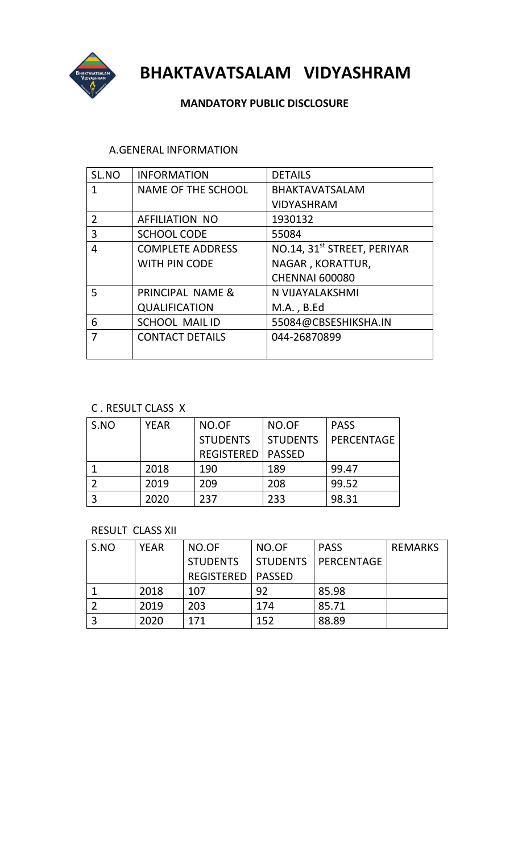

 **BHAKTAVATSALAM VIDYASHRAM**

# **MANDATORY PUBLIC DISCLOSURE**

## A.GENERAL INFORMATION

| SL.NO          | <b>INFORMATION</b>      | <b>DETAILS</b>                          |
|----------------|-------------------------|-----------------------------------------|
|                | NAME OF THE SCHOOL      | <b>BHAKTAVATSALAM</b>                   |
|                |                         | <b>VIDYASHRAM</b>                       |
| $\mathfrak{D}$ | <b>AFFILIATION NO</b>   | 1930132                                 |
| 3              | <b>SCHOOL CODE</b>      | 55084                                   |
| 4              | <b>COMPLETE ADDRESS</b> | NO.14, 31 <sup>st</sup> STREET, PERIYAR |
|                | <b>WITH PIN CODE</b>    | NAGAR, KORATTUR,                        |
|                |                         | <b>CHENNAI 600080</b>                   |
| 5              | PRINCIPAL NAME &        | N VIJAYALAKSHMI                         |
|                | <b>QUALIFICATION</b>    | M.A., B.Ed                              |
| 6              | <b>SCHOOL MAILID</b>    | 55084@CBSESHIKSHA.IN                    |
|                | <b>CONTACT DETAILS</b>  | 044-26870899                            |
|                |                         |                                         |

## C . RESULT CLASS X

| S.NO | <b>YEAR</b> | NO.OF             | NO.OF           | <b>PASS</b>       |
|------|-------------|-------------------|-----------------|-------------------|
|      |             | <b>STUDENTS</b>   | <b>STUDENTS</b> | <b>PERCENTAGE</b> |
|      |             | <b>REGISTERED</b> | <b>PASSED</b>   |                   |
|      | 2018        | 190               | 189             | 99.47             |
|      | 2019        | 209               | 208             | 99.52             |
|      | 2020        | 237               | 233             | 98.31             |

#### RESULT CLASS XII

| S.NO | <b>YEAR</b> | NO.OF                      | NO.OF           | <b>PASS</b> | <b>REMARKS</b> |
|------|-------------|----------------------------|-----------------|-------------|----------------|
|      |             | <b>STUDENTS</b>            | <b>STUDENTS</b> | PERCENTAGE  |                |
|      |             | <b>REGISTERED   PASSED</b> |                 |             |                |
|      | 2018        | 107                        | 92              | 85.98       |                |
|      | 2019        | 203                        | 174             | 85.71       |                |
|      | 2020        | 171                        | 152             | 88.89       |                |